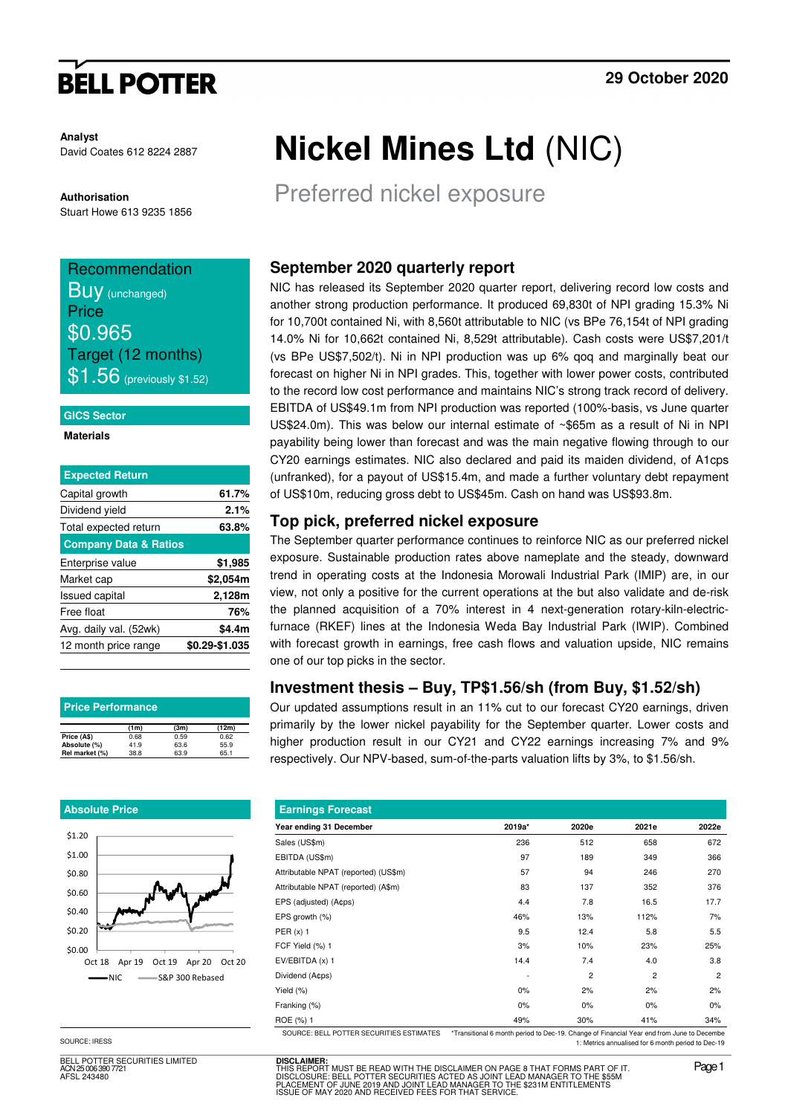# **BELL POTTER**

**Analyst** David Coates 612 8224 2887

#### **Authorisation**

Stuart Howe 613 9235 1856

## Recommendation **BUV** (unchanged) **Price** \$0.965 Target (12 months)  $\$1.56$  (previously \$1.52)

#### **GICS Sector**

#### **Materials**

| Capital growth<br>Dividend yield | 61.7%<br>2.1%  |
|----------------------------------|----------------|
|                                  |                |
|                                  |                |
| Total expected return            | 63.8%          |
| <b>Company Data &amp; Ratios</b> |                |
| Enterprise value                 | \$1,985        |
| Market cap                       | \$2,054m       |
| <b>Issued capital</b>            | 2,128m         |
| Free float                       | 76%            |
| Avg. daily val. (52wk)           | \$4.4m         |
| 12 month price range             | \$0.29-\$1.035 |

| <b>Price Performance</b> |      |      |       |  |  |  |  |
|--------------------------|------|------|-------|--|--|--|--|
|                          | (1m) | (3m) | (12m) |  |  |  |  |
| Price (A\$)              | 0.68 | 0.59 | 0.62  |  |  |  |  |
| Absolute (%)             | 41.9 | 63.6 | 55.9  |  |  |  |  |
| Rel market (%)           | 38.8 | 63.9 | 65.1  |  |  |  |  |

#### **Absolute Price**



SOURCE: IRESS

BELL POTTER SECURITIES LIMITED ACN 25 006 390 7721 AFSL 243480

# **Nickel Mines Ltd** (NIC)

Preferred nickel exposure

### **September 2020 quarterly report**

NIC has released its September 2020 quarter report, delivering record low costs and another strong production performance. It produced 69,830t of NPI grading 15.3% Ni for 10,700t contained Ni, with 8,560t attributable to NIC (vs BPe 76,154t of NPI grading 14.0% Ni for 10,662t contained Ni, 8,529t attributable). Cash costs were US\$7,201/t (vs BPe US\$7,502/t). Ni in NPI production was up 6% qoq and marginally beat our forecast on higher Ni in NPI grades. This, together with lower power costs, contributed to the record low cost performance and maintains NIC's strong track record of delivery. EBITDA of US\$49.1m from NPI production was reported (100%-basis, vs June quarter US\$24.0m). This was below our internal estimate of ~\$65m as a result of Ni in NPI payability being lower than forecast and was the main negative flowing through to our CY20 earnings estimates. NIC also declared and paid its maiden dividend, of A1cps (unfranked), for a payout of US\$15.4m, and made a further voluntary debt repayment of US\$10m, reducing gross debt to US\$45m. Cash on hand was US\$93.8m.

### **Top pick, preferred nickel exposure**

The September quarter performance continues to reinforce NIC as our preferred nickel exposure. Sustainable production rates above nameplate and the steady, downward trend in operating costs at the Indonesia Morowali Industrial Park (IMIP) are, in our view, not only a positive for the current operations at the but also validate and de-risk the planned acquisition of a 70% interest in 4 next-generation rotary-kiln-electricfurnace (RKEF) lines at the Indonesia Weda Bay Industrial Park (IWIP). Combined with forecast growth in earnings, free cash flows and valuation upside, NIC remains one of our top picks in the sector.

### **Investment thesis – Buy, TP\$1.56/sh (from Buy, \$1.52/sh)**

Our updated assumptions result in an 11% cut to our forecast CY20 earnings, driven primarily by the lower nickel payability for the September quarter. Lower costs and higher production result in our CY21 and CY22 earnings increasing 7% and 9% respectively. Our NPV-based, sum-of-the-parts valuation lifts by 3%, to \$1.56/sh.

| <b>Earnings Forecast</b>                 |                                                                                           |       |       |                |
|------------------------------------------|-------------------------------------------------------------------------------------------|-------|-------|----------------|
| Year ending 31 December                  | 2019a*                                                                                    | 2020e | 2021e | 2022e          |
| Sales (US\$m)                            | 236                                                                                       | 512   | 658   | 672            |
| EBITDA (US\$m)                           | 97                                                                                        | 189   | 349   | 366            |
| Attributable NPAT (reported) (US\$m)     | 57                                                                                        | 94    | 246   | 270            |
| Attributable NPAT (reported) (A\$m)      | 83                                                                                        | 137   | 352   | 376            |
| EPS (adjusted) (A¢ps)                    | 4.4                                                                                       | 7.8   | 16.5  | 17.7           |
| EPS growth (%)                           | 46%                                                                                       | 13%   | 112%  | 7%             |
| PER $(x)$ 1                              | 9.5                                                                                       | 12.4  | 5.8   | 5.5            |
| FCF Yield (%) 1                          | 3%                                                                                        | 10%   | 23%   | 25%            |
| $EV/EBITDA(x)$ 1                         | 14.4                                                                                      | 7.4   | 4.0   | 3.8            |
| Dividend (A¢ps)                          |                                                                                           | 2     | 2     | $\overline{2}$ |
| Yield $(\%)$                             | 0%                                                                                        | 2%    | 2%    | 2%             |
| Franking (%)                             | 0%                                                                                        | 0%    | 0%    | 0%             |
| ROE (%) 1                                | 49%                                                                                       | 30%   | 41%   | 34%            |
| SOURCE: BELL POTTER SECURITIES ESTIMATES | *Transitional 6 month period to Dec-19. Change of Financial Year end from June to Decembe |       |       |                |

1: Metrics annualised for 6 month period to Dec-19

**DISCLAIMER:**<br>THIS REPORT MUST BE READ WITH THE DISCLAIMER ON PAGE 8 THAT FORMS PART OF IT.<br>DISCLOSURE: BELL POTTER SECURITIES ACTED AS JOINT LEAD MANAGER TO THE \$55M<br>PLACEMENT OF JUNE 2019 AND JOINT LEAD MANAGER TO THE \$2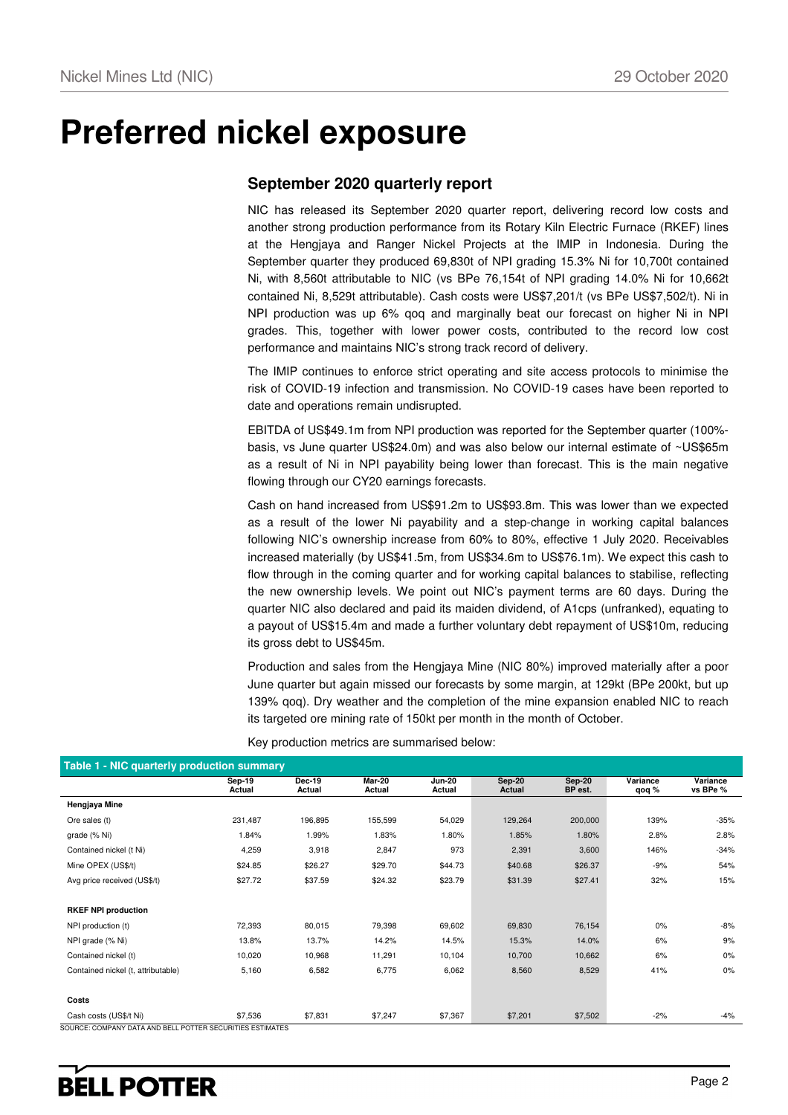# **Preferred nickel exposure**

### **September 2020 quarterly report**

NIC has released its September 2020 quarter report, delivering record low costs and another strong production performance from its Rotary Kiln Electric Furnace (RKEF) lines at the Hengjaya and Ranger Nickel Projects at the IMIP in Indonesia. During the September quarter they produced 69,830t of NPI grading 15.3% Ni for 10,700t contained Ni, with 8,560t attributable to NIC (vs BPe 76,154t of NPI grading 14.0% Ni for 10,662t contained Ni, 8,529t attributable). Cash costs were US\$7,201/t (vs BPe US\$7,502/t). Ni in NPI production was up 6% qoq and marginally beat our forecast on higher Ni in NPI grades. This, together with lower power costs, contributed to the record low cost performance and maintains NIC's strong track record of delivery.

The IMIP continues to enforce strict operating and site access protocols to minimise the risk of COVID-19 infection and transmission. No COVID-19 cases have been reported to date and operations remain undisrupted.

EBITDA of US\$49.1m from NPI production was reported for the September quarter (100% basis, vs June quarter US\$24.0m) and was also below our internal estimate of ~US\$65m as a result of Ni in NPI payability being lower than forecast. This is the main negative flowing through our CY20 earnings forecasts.

Cash on hand increased from US\$91.2m to US\$93.8m. This was lower than we expected as a result of the lower Ni payability and a step-change in working capital balances following NIC's ownership increase from 60% to 80%, effective 1 July 2020. Receivables increased materially (by US\$41.5m, from US\$34.6m to US\$76.1m). We expect this cash to flow through in the coming quarter and for working capital balances to stabilise, reflecting the new ownership levels. We point out NIC's payment terms are 60 days. During the quarter NIC also declared and paid its maiden dividend, of A1cps (unfranked), equating to a payout of US\$15.4m and made a further voluntary debt repayment of US\$10m, reducing its gross debt to US\$45m.

Production and sales from the Hengjaya Mine (NIC 80%) improved materially after a poor June quarter but again missed our forecasts by some margin, at 129kt (BPe 200kt, but up 139% qoq). Dry weather and the completion of the mine expansion enabled NIC to reach its targeted ore mining rate of 150kt per month in the month of October.

| Table 1 - NIC quarterly production summary                |                  |                  |                  |                         |                         |                          |                   |                      |  |  |  |
|-----------------------------------------------------------|------------------|------------------|------------------|-------------------------|-------------------------|--------------------------|-------------------|----------------------|--|--|--|
|                                                           | Sep-19<br>Actual | Dec-19<br>Actual | Mar-20<br>Actual | <b>Jun-20</b><br>Actual | <b>Sep-20</b><br>Actual | <b>Sep-20</b><br>BP est. | Variance<br>qoq % | Variance<br>vs BPe % |  |  |  |
| Hengjaya Mine                                             |                  |                  |                  |                         |                         |                          |                   |                      |  |  |  |
| Ore sales (t)                                             | 231,487          | 196,895          | 155,599          | 54,029                  | 129,264                 | 200,000                  | 139%              | $-35%$               |  |  |  |
| grade (% Ni)                                              | 1.84%            | 1.99%            | 1.83%            | 1.80%                   | 1.85%                   | 1.80%                    | 2.8%              | 2.8%                 |  |  |  |
| Contained nickel (t Ni)                                   | 4,259            | 3,918            | 2,847            | 973                     | 2,391                   | 3,600                    | 146%              | $-34%$               |  |  |  |
| Mine OPEX (US\$/t)                                        | \$24.85          | \$26.27          | \$29.70          | \$44.73                 | \$40.68                 | \$26.37                  | $-9%$             | 54%                  |  |  |  |
| Avg price received (US\$/t)                               | \$27.72          | \$37.59          | \$24.32          | \$23.79                 | \$31.39                 | \$27.41                  | 32%               | 15%                  |  |  |  |
|                                                           |                  |                  |                  |                         |                         |                          |                   |                      |  |  |  |
| <b>RKEF NPI production</b>                                |                  |                  |                  |                         |                         |                          |                   |                      |  |  |  |
| NPI production (t)                                        | 72,393           | 80,015           | 79,398           | 69,602                  | 69,830                  | 76,154                   | 0%                | $-8%$                |  |  |  |
| NPI grade (% Ni)                                          | 13.8%            | 13.7%            | 14.2%            | 14.5%                   | 15.3%                   | 14.0%                    | 6%                | 9%                   |  |  |  |
| Contained nickel (t)                                      | 10,020           | 10,968           | 11,291           | 10,104                  | 10,700                  | 10,662                   | 6%                | 0%                   |  |  |  |
| Contained nickel (t, attributable)                        | 5,160            | 6,582            | 6,775            | 6,062                   | 8,560                   | 8,529                    | 41%               | 0%                   |  |  |  |
|                                                           |                  |                  |                  |                         |                         |                          |                   |                      |  |  |  |
| Costs                                                     |                  |                  |                  |                         |                         |                          |                   |                      |  |  |  |
| Cash costs (US\$/t Ni)                                    | \$7,536          | \$7,831          | \$7,247          | \$7,367                 | \$7,201                 | \$7,502                  | $-2%$             | -4%                  |  |  |  |
| SOURCE: COMPANY DATA AND BELL POTTER SECURITIES ESTIMATES |                  |                  |                  |                         |                         |                          |                   |                      |  |  |  |

Key production metrics are summarised below: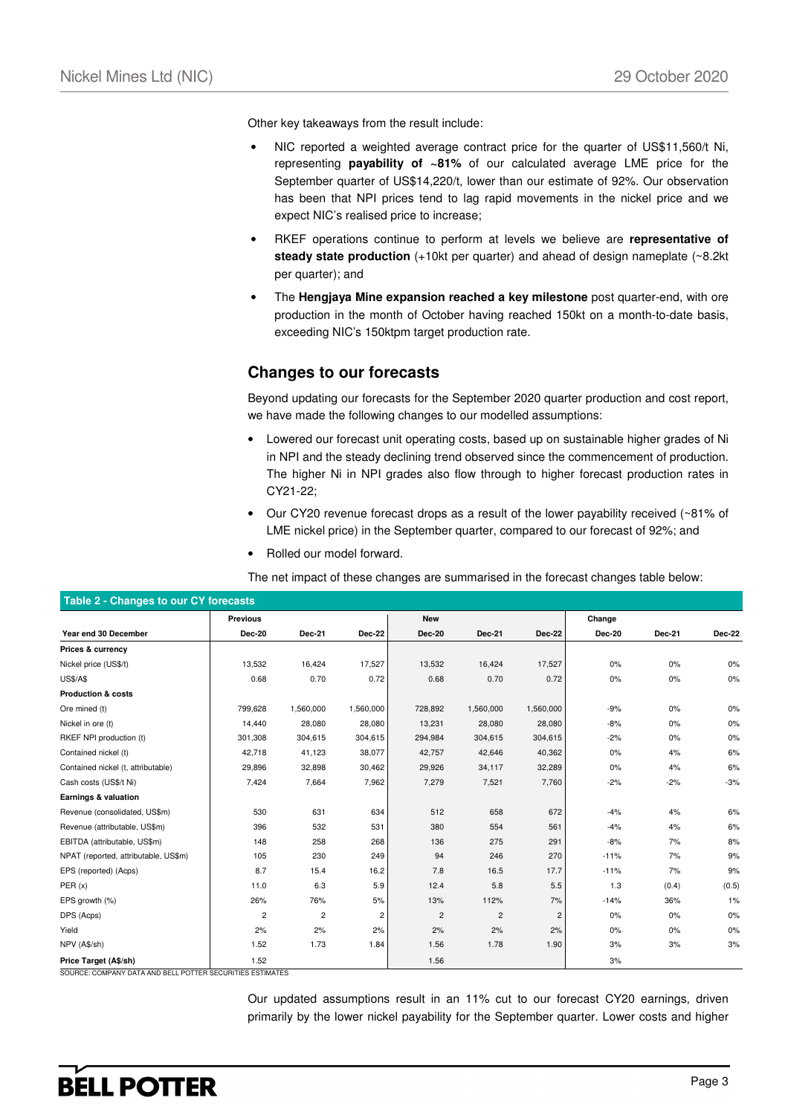Other key takeaways from the result include:

- NIC reported a weighted average contract price for the quarter of US\$11,560/t Ni, representing **payability of ~81%** of our calculated average LME price for the September quarter of US\$14,220/t, lower than our estimate of 92%. Our observation has been that NPI prices tend to lag rapid movements in the nickel price and we expect NIC's realised price to increase;
- RKEF operations continue to perform at levels we believe are **representative of steady state production** (+10kt per quarter) and ahead of design nameplate (~8.2kt per quarter); and
- The **Hengjaya Mine expansion reached a key milestone** post quarter-end, with ore production in the month of October having reached 150kt on a month-to-date basis, exceeding NIC's 150ktpm target production rate.

### **Changes to our forecasts**

Beyond updating our forecasts for the September 2020 quarter production and cost report, we have made the following changes to our modelled assumptions:

- Lowered our forecast unit operating costs, based up on sustainable higher grades of Ni in NPI and the steady declining trend observed since the commencement of production. The higher Ni in NPI grades also flow through to higher forecast production rates in CY21-22;
- Our CY20 revenue forecast drops as a result of the lower payability received (~81% of LME nickel price) in the September quarter, compared to our forecast of 92%; and
- Rolled our model forward.

The net impact of these changes are summarised in the forecast changes table below:

| Table 2 - Changes to our CY forecasts |                 |                |                |                |                |                |        |        |               |  |
|---------------------------------------|-----------------|----------------|----------------|----------------|----------------|----------------|--------|--------|---------------|--|
|                                       | <b>Previous</b> |                |                | <b>New</b>     |                |                | Change |        |               |  |
| Year end 30 December                  | Dec-20          | Dec-21         | Dec-22         | <b>Dec-20</b>  | Dec-21         | Dec-22         | Dec-20 | Dec-21 | <b>Dec-22</b> |  |
| Prices & currency                     |                 |                |                |                |                |                |        |        |               |  |
| Nickel price (US\$/t)                 | 13,532          | 16,424         | 17,527         | 13,532         | 16,424         | 17,527         | 0%     | 0%     | 0%            |  |
| <b>US\$/A\$</b>                       | 0.68            | 0.70           | 0.72           | 0.68           | 0.70           | 0.72           | 0%     | 0%     | $0\%$         |  |
| <b>Production &amp; costs</b>         |                 |                |                |                |                |                |        |        |               |  |
| Ore mined (t)                         | 799,628         | 1,560,000      | 1,560,000      | 728,892        | 1,560,000      | 1,560,000      | $-9%$  | 0%     | 0%            |  |
| Nickel in ore (t)                     | 14,440          | 28,080         | 28,080         | 13,231         | 28,080         | 28,080         | $-8%$  | 0%     | 0%            |  |
| RKEF NPI production (t)               | 301,308         | 304,615        | 304,615        | 294,984        | 304,615        | 304,615        | $-2%$  | 0%     | 0%            |  |
| Contained nickel (t)                  | 42,718          | 41,123         | 38,077         | 42,757         | 42,646         | 40,362         | 0%     | 4%     | 6%            |  |
| Contained nickel (t, attributable)    | 29,896          | 32,898         | 30,462         | 29,926         | 34,117         | 32,289         | 0%     | 4%     | 6%            |  |
| Cash costs (US\$/t Ni)                | 7,424           | 7,664          | 7,962          | 7,279          | 7,521          | 7,760          | $-2%$  | $-2%$  | $-3%$         |  |
| Earnings & valuation                  |                 |                |                |                |                |                |        |        |               |  |
| Revenue (consolidated, US\$m)         | 530             | 631            | 634            | 512            | 658            | 672            | $-4%$  | 4%     | 6%            |  |
| Revenue (attributable, US\$m)         | 396             | 532            | 531            | 380            | 554            | 561            | $-4%$  | 4%     | 6%            |  |
| EBITDA (attributable, US\$m)          | 148             | 258            | 268            | 136            | 275            | 291            | $-8%$  | 7%     | 8%            |  |
| NPAT (reported, attributable, US\$m)  | 105             | 230            | 249            | 94             | 246            | 270            | $-11%$ | 7%     | 9%            |  |
| EPS (reported) (Acps)                 | 8.7             | 15.4           | 16.2           | 7.8            | 16.5           | 17.7           | $-11%$ | 7%     | 9%            |  |
| PER(x)                                | 11.0            | 6.3            | 5.9            | 12.4           | 5.8            | 5.5            | 1.3    | (0.4)  | (0.5)         |  |
| EPS growth (%)                        | 26%             | 76%            | 5%             | 13%            | 112%           | 7%             | $-14%$ | 36%    | 1%            |  |
| DPS (Acps)                            | $\overline{c}$  | $\overline{c}$ | $\overline{c}$ | $\overline{c}$ | $\overline{c}$ | $\overline{c}$ | 0%     | 0%     | 0%            |  |
| Yield                                 | 2%              | 2%             | 2%             | 2%             | 2%             | 2%             | 0%     | 0%     | 0%            |  |
| NPV (A\$/sh)                          | 1.52            | 1.73           | 1.84           | 1.56           | 1.78           | 1.90           | 3%     | 3%     | 3%            |  |
| Price Target (A\$/sh)                 | 1.52            |                |                | 1.56           |                |                | 3%     |        |               |  |

SOURCE: COMPANY DATA AND BELL POTTER SECURITIES ESTIMATES

Our updated assumptions result in an 11% cut to our forecast CY20 earnings, driven primarily by the lower nickel payability for the September quarter. Lower costs and higher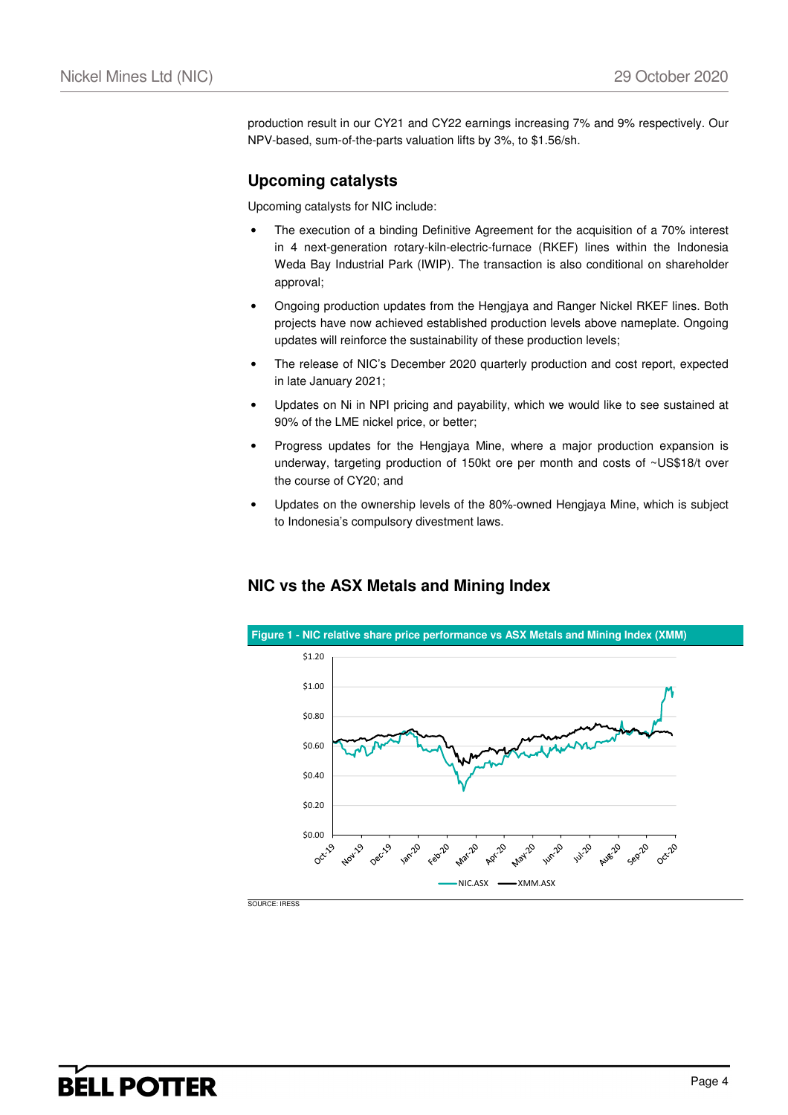production result in our CY21 and CY22 earnings increasing 7% and 9% respectively. Our NPV-based, sum-of-the-parts valuation lifts by 3%, to \$1.56/sh.

### **Upcoming catalysts**

Upcoming catalysts for NIC include:

- The execution of a binding Definitive Agreement for the acquisition of a 70% interest in 4 next-generation rotary-kiln-electric-furnace (RKEF) lines within the Indonesia Weda Bay Industrial Park (IWIP). The transaction is also conditional on shareholder approval;
- Ongoing production updates from the Hengjaya and Ranger Nickel RKEF lines. Both projects have now achieved established production levels above nameplate. Ongoing updates will reinforce the sustainability of these production levels;
- The release of NIC's December 2020 quarterly production and cost report, expected in late January 2021;
- Updates on Ni in NPI pricing and payability, which we would like to see sustained at 90% of the LME nickel price, or better;
- Progress updates for the Hengjaya Mine, where a major production expansion is underway, targeting production of 150kt ore per month and costs of ~US\$18/t over the course of CY20; and
- Updates on the ownership levels of the 80%-owned Hengjaya Mine, which is subject to Indonesia's compulsory divestment laws.

### **NIC vs the ASX Metals and Mining Index**

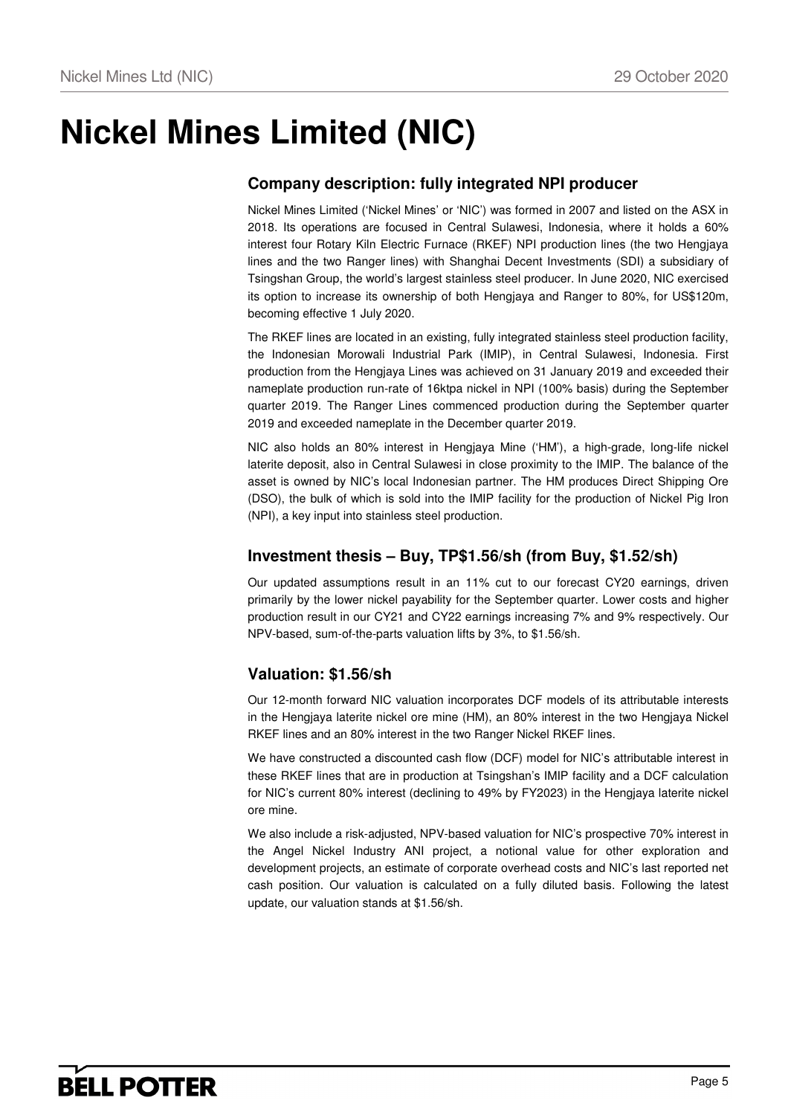# **Nickel Mines Limited (NIC)**

### **Company description: fully integrated NPI producer**

Nickel Mines Limited ('Nickel Mines' or 'NIC') was formed in 2007 and listed on the ASX in 2018. Its operations are focused in Central Sulawesi, Indonesia, where it holds a 60% interest four Rotary Kiln Electric Furnace (RKEF) NPI production lines (the two Hengjaya lines and the two Ranger lines) with Shanghai Decent Investments (SDI) a subsidiary of Tsingshan Group, the world's largest stainless steel producer. In June 2020, NIC exercised its option to increase its ownership of both Hengjaya and Ranger to 80%, for US\$120m, becoming effective 1 July 2020.

The RKEF lines are located in an existing, fully integrated stainless steel production facility, the Indonesian Morowali Industrial Park (IMIP), in Central Sulawesi, Indonesia. First production from the Hengjaya Lines was achieved on 31 January 2019 and exceeded their nameplate production run-rate of 16ktpa nickel in NPI (100% basis) during the September quarter 2019. The Ranger Lines commenced production during the September quarter 2019 and exceeded nameplate in the December quarter 2019.

NIC also holds an 80% interest in Hengjaya Mine ('HM'), a high-grade, long-life nickel laterite deposit, also in Central Sulawesi in close proximity to the IMIP. The balance of the asset is owned by NIC's local Indonesian partner. The HM produces Direct Shipping Ore (DSO), the bulk of which is sold into the IMIP facility for the production of Nickel Pig Iron (NPI), a key input into stainless steel production.

### **Investment thesis – Buy, TP\$1.56/sh (from Buy, \$1.52/sh)**

Our updated assumptions result in an 11% cut to our forecast CY20 earnings, driven primarily by the lower nickel payability for the September quarter. Lower costs and higher production result in our CY21 and CY22 earnings increasing 7% and 9% respectively. Our NPV-based, sum-of-the-parts valuation lifts by 3%, to \$1.56/sh.

### **Valuation: \$1.56/sh**

Our 12-month forward NIC valuation incorporates DCF models of its attributable interests in the Hengjaya laterite nickel ore mine (HM), an 80% interest in the two Hengjaya Nickel RKEF lines and an 80% interest in the two Ranger Nickel RKEF lines.

We have constructed a discounted cash flow (DCF) model for NIC's attributable interest in these RKEF lines that are in production at Tsingshan's IMIP facility and a DCF calculation for NIC's current 80% interest (declining to 49% by FY2023) in the Hengjaya laterite nickel ore mine.

We also include a risk-adjusted, NPV-based valuation for NIC's prospective 70% interest in the Angel Nickel Industry ANI project, a notional value for other exploration and development projects, an estimate of corporate overhead costs and NIC's last reported net cash position. Our valuation is calculated on a fully diluted basis. Following the latest update, our valuation stands at \$1.56/sh.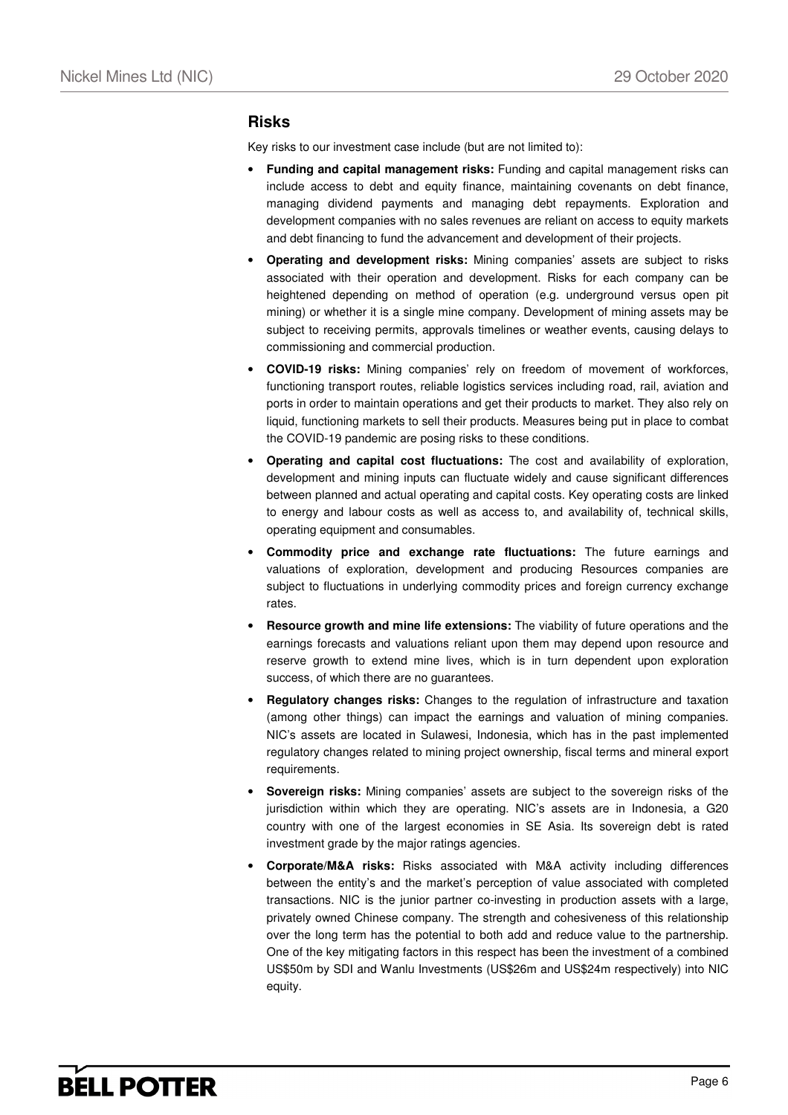### **Risks**

Key risks to our investment case include (but are not limited to):

- **Funding and capital management risks:** Funding and capital management risks can include access to debt and equity finance, maintaining covenants on debt finance, managing dividend payments and managing debt repayments. Exploration and development companies with no sales revenues are reliant on access to equity markets and debt financing to fund the advancement and development of their projects.
- **Operating and development risks:** Mining companies' assets are subject to risks associated with their operation and development. Risks for each company can be heightened depending on method of operation (e.g. underground versus open pit mining) or whether it is a single mine company. Development of mining assets may be subject to receiving permits, approvals timelines or weather events, causing delays to commissioning and commercial production.
- **COVID-19 risks:** Mining companies' rely on freedom of movement of workforces, functioning transport routes, reliable logistics services including road, rail, aviation and ports in order to maintain operations and get their products to market. They also rely on liquid, functioning markets to sell their products. Measures being put in place to combat the COVID-19 pandemic are posing risks to these conditions.
- **Operating and capital cost fluctuations:** The cost and availability of exploration, development and mining inputs can fluctuate widely and cause significant differences between planned and actual operating and capital costs. Key operating costs are linked to energy and labour costs as well as access to, and availability of, technical skills, operating equipment and consumables.
- **Commodity price and exchange rate fluctuations:** The future earnings and valuations of exploration, development and producing Resources companies are subject to fluctuations in underlying commodity prices and foreign currency exchange rates.
- **Resource growth and mine life extensions:** The viability of future operations and the earnings forecasts and valuations reliant upon them may depend upon resource and reserve growth to extend mine lives, which is in turn dependent upon exploration success, of which there are no guarantees.
- **Regulatory changes risks:** Changes to the regulation of infrastructure and taxation (among other things) can impact the earnings and valuation of mining companies. NIC's assets are located in Sulawesi, Indonesia, which has in the past implemented regulatory changes related to mining project ownership, fiscal terms and mineral export requirements.
- **Sovereign risks:** Mining companies' assets are subject to the sovereign risks of the jurisdiction within which they are operating. NIC's assets are in Indonesia, a G20 country with one of the largest economies in SE Asia. Its sovereign debt is rated investment grade by the major ratings agencies.
- **Corporate/M&A risks:** Risks associated with M&A activity including differences between the entity's and the market's perception of value associated with completed transactions. NIC is the junior partner co-investing in production assets with a large, privately owned Chinese company. The strength and cohesiveness of this relationship over the long term has the potential to both add and reduce value to the partnership. One of the key mitigating factors in this respect has been the investment of a combined US\$50m by SDI and Wanlu Investments (US\$26m and US\$24m respectively) into NIC equity.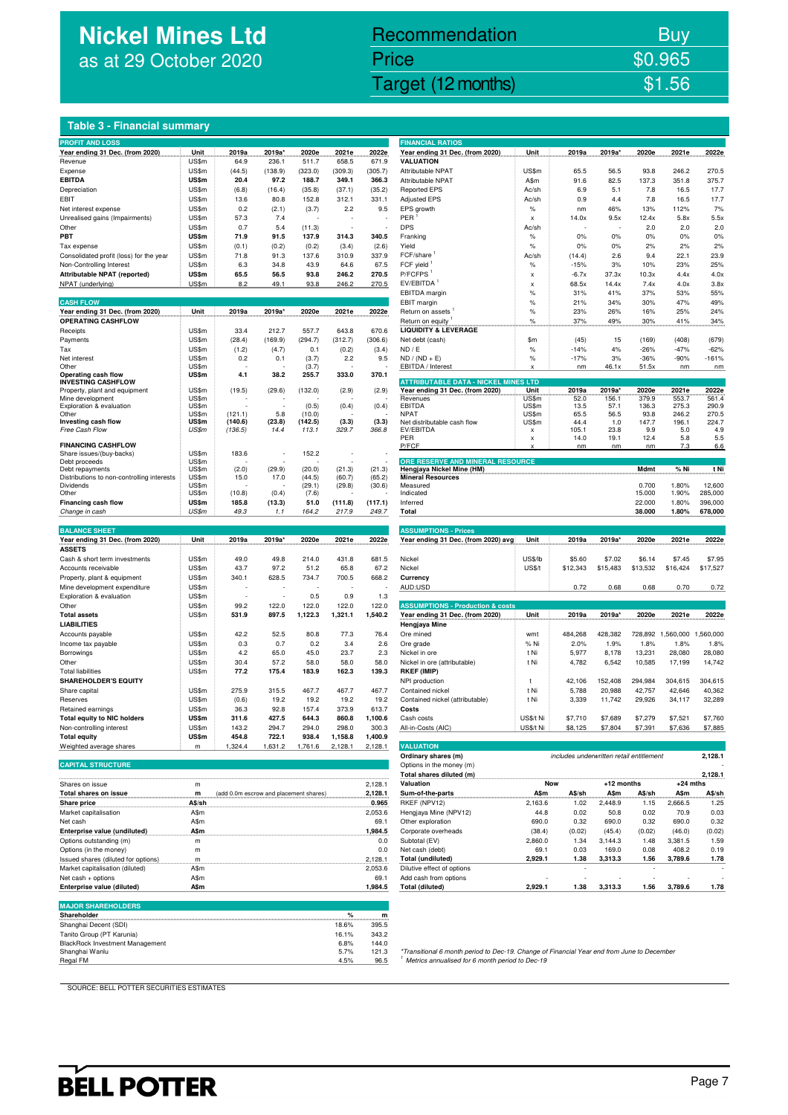# **Nickel Mines Ltd** as at 29 October 2020

## Nickel Mines Ltd (Nickel Mines Ltd (Nickel Mines Ltd (Nickel Mines Ltd (Nickel Mines Ltd Control) Recommendation Buy Price \$0.965

### **Table 3 - Financial summary**

| <b>PROFIT AND LOSS</b>                                              |                |                                        |                  |                   |                  |                  | <b>FINANCIAL RATIOS</b>                                                                                                                       |                           |                                          |                    |                 |                 |                    |
|---------------------------------------------------------------------|----------------|----------------------------------------|------------------|-------------------|------------------|------------------|-----------------------------------------------------------------------------------------------------------------------------------------------|---------------------------|------------------------------------------|--------------------|-----------------|-----------------|--------------------|
| Year ending 31 Dec. (from 2020)                                     | Unit           | 2019a                                  | 2019a'           | 2020e             | 2021e            | 2022e            | Year ending 31 Dec. (from 2020)                                                                                                               | Unit                      | 2019a                                    | 2019a              | 2020e           | 2021e           | 2022e              |
| Revenue                                                             | US\$m          | 64.9                                   | 236.1            | 511.7             | 658.5            | 671.9            | <b>VALUATION</b>                                                                                                                              |                           |                                          |                    |                 |                 |                    |
| Expense                                                             | US\$m          | (44.5)                                 | (138.9)          | (323.0)           | (309.3)          | (305.7)          | Attributable NPAT                                                                                                                             | US\$m                     | 65.5                                     | 56.5               | 93.8            | 246.2           | 270.5              |
| <b>EBITDA</b>                                                       | US\$m<br>US\$m | 20.4<br>(6.8)                          | 97.2<br>(16.4)   | 188.7<br>(35.8)   | 349.1<br>(37.1)  | 366.3<br>(35.2)  | Attributable NPAT<br><b>Reported EPS</b>                                                                                                      | A\$m<br>Ac/sh             | 91.6<br>6.9                              | 82.5<br>5.1        | 137.3<br>7.8    | 351.8<br>16.5   | 375.7<br>17.7      |
| Depreciation<br>EBIT                                                | US\$m          | 13.6                                   | 80.8             | 152.8             | 312.1            | 331.1            | <b>Adjusted EPS</b>                                                                                                                           | Ac/sh                     | 0.9                                      | 4.4                | 7.8             | 16.5            | 17.7               |
| Net interest expense                                                | US\$m          | 0.2                                    | (2.1)            | (3.7)             | 2.2              | 9.5              | EPS growth                                                                                                                                    | $\%$                      | nm                                       | 46%                | 13%             | 112%            | 7%                 |
| Unrealised gains (Impairments)                                      | US\$m          | 57.3                                   | 7.4              |                   |                  |                  | PER                                                                                                                                           | $\boldsymbol{\mathsf{x}}$ | 14.0x                                    | 9.5x               | 12.4x           | 5.8x            | 5.5x               |
| Other                                                               | US\$m          | 0.7                                    | 5.4              | (11.3)            |                  |                  | <b>DPS</b>                                                                                                                                    | Ac/sh                     |                                          |                    | 2.0             | 2.0             | 2.0                |
| PBT                                                                 | US\$m          | 71.9                                   | 91.5             | 137.9             | 314.3            | 340.5            | Franking                                                                                                                                      | $\%$                      | 0%                                       | 0%                 | 0%              | 0%              | 0%                 |
| Tax expense                                                         | US\$m          | (0.1)                                  | (0.2)            | (0.2)             | (3.4)            | (2.6)            | Yield                                                                                                                                         | $\%$                      | 0%                                       | 0%                 | 2%              | 2%              | 2%                 |
| Consolidated profit (loss) for the year<br>Non-Controlling Interest | US\$m<br>US\$m | 71.8<br>6.3                            | 91.3<br>34.8     | 137.6<br>43.9     | 310.9<br>64.6    | 337.9<br>67.5    | FCF/share<br>FCF yield                                                                                                                        | Ac/sh<br>$\%$             | (14.4)<br>$-15%$                         | 2.6<br>3%          | 9.4<br>10%      | 22.1<br>23%     | 23.9<br>25%        |
| Attributable NPAT (reported)                                        | US\$m          | 65.5                                   | 56.5             | 93.8              | 246.2            | 270.5            | P/FCFPS <sup>1</sup>                                                                                                                          | x                         | $-6.7x$                                  | 37.3x              | 10.3x           | 4.4x            | 4.0x               |
| NPAT (underlying)                                                   | US\$m          | 8.2                                    | 49.1             | 93.8              | 246.2            | 270.5            | EV/EBITDA                                                                                                                                     | X                         | 68.5x                                    | 14.4x              | 7.4x            | 4.0x            | 3.8x               |
|                                                                     |                |                                        |                  |                   |                  |                  | EBITDA margin                                                                                                                                 | %                         | 31%                                      | 41%                | 37%             | 53%             | 55%                |
| <b>CASH FLOW</b>                                                    |                |                                        |                  |                   |                  |                  | EBIT margin                                                                                                                                   | $\%$                      | 21%                                      | 34%                | 30%             | 47%             | 49%                |
| Year ending 31 Dec. (from 2020)                                     | Unit           | 2019a                                  | 2019a*           | 2020e             | 2021e            | 2022e            | Return on assets                                                                                                                              | $\%$                      | 23%                                      | 26%                | 16%             | 25%             | 24%                |
| <b>OPERATING CASHFLOW</b>                                           |                |                                        |                  |                   |                  |                  | Return on equity                                                                                                                              | $\%$                      | 37%                                      | 49%                | 30%             | 41%             | 34%                |
| Receipts                                                            | US\$m          | 33.4                                   | 212.7            | 557.7             | 643.8            | 670.6            | <b>LIQUIDITY &amp; LEVERAGE</b>                                                                                                               |                           |                                          |                    |                 |                 |                    |
| Payments<br>Tax                                                     | US\$m<br>US\$m | (28.4)<br>(1.2)                        | (169.9)<br>(4.7) | (294.7)<br>0.1    | (312.7)<br>(0.2) | (306.6)<br>(3.4) | Net debt (cash)<br>ND / E                                                                                                                     | \$m<br>$\%$               | (45)<br>$-14%$                           | 15<br>4%           | (169)<br>$-26%$ | (408)<br>$-47%$ | (679)<br>$-62%$    |
| Net interest                                                        | US\$m          | 0.2                                    | 0.1              | (3.7)             | 2.2              | 9.5              | $ND / (ND + E)$                                                                                                                               | $\%$                      | $-17%$                                   | 3%                 | $-36%$          | -90%            | $-161%$            |
| Other                                                               | US\$m          |                                        |                  | (3.7)             |                  |                  | EBITDA / Interest                                                                                                                             |                           | nm                                       | 46.1x              | 51.5x           | nm              | nm                 |
| Operating cash flow                                                 | US\$m          | 4.1                                    | 38.2             | 255.7             | 333.0            | 370.1            |                                                                                                                                               |                           |                                          |                    |                 |                 |                    |
| <b>INVESTING CASHFLOW</b><br>Property, plant and equipment          | US\$m          | (19.5)                                 | (29.6)           | (132.0)           | (2.9)            | (2.9)            | <b>ATTRIBUTABLE DATA - NICKEL MINES LTD</b><br>Year ending 31 Dec. (from 2020)                                                                | Unit                      | 2019a                                    | 2019a              | 2020e           | 2021e           | 2022e              |
| Mine development                                                    | US\$m          |                                        |                  |                   |                  |                  | Revenues                                                                                                                                      | US\$m                     | 52.0                                     | 156.1              | 379.9           | 553.7           | 561.4              |
| Exploration & evaluation                                            | US\$m          |                                        |                  | (0.5)             | (0.4)            | (0.4)            | EBITDA                                                                                                                                        | US\$m                     | 13.5                                     | 57.1               | 136.3           | 275.3           | 290.9              |
| Other<br>Investing cash flow                                        | US\$m<br>US\$m | (121.1)<br>(140.6)                     | 5.8<br>(23.8)    | (10.0)<br>(142.5) | (3.3)            | (3.3)            | <b>NPAT</b><br>Net distributable cash flow                                                                                                    | US\$m<br>US\$m            | 65.5<br>44.4                             | 56.5<br>1.0        | 93.8<br>147.7   | 246.2<br>196.1  | 270.5<br>224.7     |
| Free Cash Flow                                                      | US\$m          | (136.5)                                | 14.4             | 113.1             | 329.7            | 366.8            | EV/EBITDA                                                                                                                                     | x                         | 105.1                                    | 23.8               | 9.9             | 5.0             | 4.9                |
|                                                                     |                |                                        |                  |                   |                  |                  | PER                                                                                                                                           | X                         | 14.0                                     | 19.1               | 12.4            | 5.8             | 5.5                |
| <b>FINANCING CASHFLOW</b>                                           |                |                                        |                  |                   |                  |                  | P/FCF                                                                                                                                         |                           | nm                                       | nm                 | nm              | 7.3             | 6.6                |
| Share issues/(buy-backs)<br>Debt proceeds                           | US\$m<br>US\$m | 183.6                                  |                  | 152.2             |                  |                  | ORE RESERVE AND MINERAL RESOURCE                                                                                                              |                           |                                          |                    |                 |                 |                    |
| Debt repayments                                                     | US\$m          | (2.0)                                  | (29.9)           | (20.0)            | (21.3)           | (21.3)           | Hengjaya Nickel Mine (HM)                                                                                                                     |                           |                                          |                    | Mdmt            | % Ni            | t Ni               |
| Distributions to non-controlling interests                          | US\$m          | 15.0                                   | 17.0             | (44.5)            | (60.7)           | (65.2)           | <b>Mineral Resources</b>                                                                                                                      |                           |                                          |                    |                 |                 |                    |
| Dividends<br>Other                                                  | US\$m<br>US\$m | (10.8)                                 | (0.4)            | (29.1)<br>(7.6)   | (29.8)           | (30.6)           | Measured<br>Indicated                                                                                                                         |                           |                                          |                    | 0.700<br>15.000 | 1.80%<br>1.90%  | 12,600<br>285,000  |
| Financing cash flow                                                 | US\$m          | 185.8                                  | (13.3)           | 51.0              | (111.8)          | (117.1)          | Inferred                                                                                                                                      |                           |                                          |                    | 22.000          | 1.80%           | 396,000            |
| Change in cash                                                      | US\$m          | 49.3                                   | 1.1              | 164.2             | 217.9            | 249.7            | Total                                                                                                                                         |                           |                                          |                    | 38.000          | 1.80%           | 678,000            |
|                                                                     |                |                                        |                  |                   |                  |                  |                                                                                                                                               |                           |                                          |                    |                 |                 |                    |
| <b>BALANCE SHEET</b>                                                |                |                                        |                  |                   |                  |                  | <b>ASSUMPTIONS - Prices</b>                                                                                                                   |                           |                                          |                    |                 |                 |                    |
| Year ending 31 Dec. (from 2020)                                     | Unit           | 2019a                                  | 2019a*           | 2020e             | 2021e            | 2022e            | Year ending 31 Dec. (from 2020) avg                                                                                                           | Unit                      | 2019a                                    | 2019a'             | 2020e           | 2021e           | 2022e              |
| <b>ASSETS</b>                                                       |                |                                        |                  |                   |                  |                  |                                                                                                                                               |                           |                                          |                    |                 |                 |                    |
| Cash & short term investments                                       | US\$m<br>US\$m | 49.0                                   | 49.8<br>97.2     | 214.0<br>51.2     | 431.8<br>65.8    | 681.5<br>67.2    | Nickel<br>Nickel                                                                                                                              | US\$/lb<br>US\$/t         | \$5.60<br>\$12,343                       | \$7.02<br>\$15,483 | \$6.14          | \$7.45          | \$7.95<br>\$17,527 |
| Accounts receivable                                                 |                | 43.7                                   |                  |                   |                  |                  |                                                                                                                                               |                           |                                          |                    | \$13,532        | \$16,424        |                    |
|                                                                     |                |                                        |                  |                   |                  |                  |                                                                                                                                               |                           |                                          |                    |                 |                 |                    |
| Property, plant & equipment                                         | US\$m          | 340.1                                  | 628.5            | 734.7             | 700.5            | 668.2            | Currency                                                                                                                                      |                           |                                          |                    |                 |                 |                    |
| Mine development expenditure                                        | US\$m          |                                        |                  |                   |                  |                  | AUD:USD                                                                                                                                       |                           | 0.72                                     | 0.68               | 0.68            | 0.70            | 0.72               |
| Exploration & evaluation<br>Other                                   | US\$m<br>US\$m | 99.2                                   | 122.0            | 0.5<br>122.0      | 0.9<br>122.0     | 1.3<br>122.0     | <b>ASSUMPTIONS - Production &amp; costs</b>                                                                                                   |                           |                                          |                    |                 |                 |                    |
| <b>Total assets</b>                                                 | US\$m          | 531.9                                  | 897.5            | 1,122.3           | 1,321.1          | 1,540.2          | Year ending 31 Dec. (from 2020)                                                                                                               | Unit                      | 2019a                                    | 2019a'             | 2020e           | 2021e           | 2022e              |
| <b>LIABILITIES</b>                                                  |                |                                        |                  |                   |                  |                  | Hengjaya Mine                                                                                                                                 |                           |                                          |                    |                 |                 |                    |
| Accounts payable                                                    | US\$m          | 42.2                                   | 52.5             | 80.8              | 77.3             | 76.4             | Ore mined                                                                                                                                     | wmt                       | 484,268                                  | 428,382            | 728,892         | 1,560,000       | 1,560,000          |
| Income tax payable                                                  | US\$m          | 0.3                                    | 0.7              | 0.2               | 3.4              | 2.6              | Ore grade                                                                                                                                     | % Ni                      | 2.0%                                     | 1.9%               | 1.8%            | 1.8%            | 1.8%               |
| Borrowings                                                          | US\$m          | 4.2                                    | 65.0             | 45.0              | 23.7             | 2.3              | Nickel in ore                                                                                                                                 | t Ni                      | 5,977                                    | 8,178              | 13,231          | 28,080          | 28,080             |
| Other                                                               | US\$m          | 30.4                                   | 57.2             | 58.0              | 58.0             | 58.0             | Nickel in ore (attributable)                                                                                                                  | t Ni                      | 4,782                                    | 6,542              | 10,585          | 17,199          | 14,742             |
| <b>Total liabilities</b>                                            | US\$m          | 77.2                                   | 175.4            | 183.9             | 162.3            | 139.3            | RKEF (IMIP)                                                                                                                                   |                           |                                          |                    |                 |                 |                    |
| <b>SHAREHOLDER'S EQUITY</b>                                         |                |                                        |                  |                   |                  |                  | NPI production                                                                                                                                | t                         | 42,106                                   | 152,408            | 294,984         | 304,615         | 304,615            |
| Share capital                                                       | US\$m          | 275.9                                  | 315.5            | 467.7             | 467.7            | 467.7            | Contained nickel                                                                                                                              | t Ni<br>t Ni              | 5,788                                    | 20,988             | 42,757          | 42,646          | 40,362             |
| Reserves<br>Retained earnings                                       | US\$m<br>US\$m | (0.6)<br>36.3                          | 19.2<br>92.8     | 19.2<br>157.4     | 19.2<br>373.9    | 19.2<br>613.7    | Contained nickel (attributable)<br>Costs                                                                                                      |                           | 3,339                                    | 11,742             | 29,926          | 34,117          | 32,289             |
| <b>Total equity to NIC holders</b>                                  | US\$m          | 311.6                                  | 427.5            | 644.3             | 860.8            | 1,100.6          | Cash costs                                                                                                                                    | US\$/t Ni                 | \$7,710                                  | \$7,689            | \$7,279         | \$7,521         | \$7,760            |
| Non-controlling interest                                            | US\$m          | 143.2                                  | 294.7            | 294.0             | 298.0            | 300.3            | All-in-Costs (AIC)                                                                                                                            | $I$ I $Q$ $A$ Ni          | <b>CR 125</b>                            | <b>\$7,804</b>     | \$7.391         | \$7.636         | \$7,885            |
| <b>Total equity</b>                                                 | US\$m          | 454.8                                  | 722.1            | 938.4             | 1,158.8          | 1,400.9          |                                                                                                                                               |                           |                                          |                    |                 |                 |                    |
| Weighted average shares                                             | m              | 1,324.4                                | 1,631.2          | 1,761.6           | 2,128.1          | 2,128.1          | <b>VALUATION</b>                                                                                                                              |                           |                                          |                    |                 |                 |                    |
|                                                                     |                |                                        |                  |                   |                  |                  | Ordinary shares (m)                                                                                                                           |                           | includes underwritten retail entitlement |                    |                 |                 | 2,128.1            |
| <b>CAPITAL STRUCTURE</b>                                            |                |                                        |                  |                   |                  |                  | Options in the money (m)                                                                                                                      |                           |                                          |                    |                 |                 |                    |
|                                                                     |                |                                        |                  |                   |                  |                  | Total shares diluted (m)                                                                                                                      |                           |                                          |                    |                 |                 | 2,128.1            |
| Shares on issue                                                     | m              |                                        |                  |                   |                  | 2,128.1          | Valuation                                                                                                                                     |                           | Now                                      | +12 months         |                 | $+24$ mths      |                    |
| Total shares on issue                                               | m              | (add 0.0m escrow and placement shares) |                  |                   |                  | 2,128.1          | Sum-of-the-parts                                                                                                                              | A\$m                      | A\$/sh                                   | A\$m               | A\$/sh          | A\$m            | A\$/sh             |
| Share price                                                         | A\$/sh         |                                        |                  |                   |                  | 0.965            | RKEF (NPV12)                                                                                                                                  | 2,163.6                   | 1.02                                     | 2,448.9            | 1.15            | 2,666.5         | 1.25               |
| Market capitalisation<br>Net cash                                   | A\$m<br>A\$m   |                                        |                  |                   |                  | 2,053.6<br>69.1  | Hengjaya Mine (NPV12)<br>Other exploration                                                                                                    | 44.8<br>690.0             | 0.02<br>0.32                             | 50.8<br>690.0      | 0.02<br>0.32    | 70.9<br>690.0   | 0.03<br>0.32       |
| Enterprise value (undiluted)                                        | A\$m           |                                        |                  |                   |                  | 1,984.5          | Corporate overheads                                                                                                                           | (38.4)                    | (0.02)                                   | (45.4)             | (0.02)          | (46.0)          | (0.02)             |
| Options outstanding (m)                                             | m              |                                        |                  |                   |                  | 0.0              | Subtotal (EV)                                                                                                                                 | 2,860.0                   | 1.34                                     | 3,144.3            | 1.48            | 3,381.5         | 1.59               |
| Options (in the money)                                              | m              |                                        |                  |                   |                  | 0.0              | Net cash (debt)                                                                                                                               | 69.1                      | 0.03                                     | 169.0              | 0.08            | 408.2           | 0.19               |
| Issued shares (diluted for options)                                 | m              |                                        |                  |                   |                  | 2,128.1          | <b>Total (undiluted)</b>                                                                                                                      | 2,929.1                   | 1.38                                     | 3,313.3            | 1.56            | 3,789.6         | 1.78               |
| Market capitalisation (diluted)                                     | A\$m           |                                        |                  |                   |                  | 2,053.6          | Dilutive effect of options                                                                                                                    |                           |                                          |                    |                 |                 |                    |
| Net cash + options                                                  | A\$m           |                                        |                  |                   |                  | 69.1             | Add cash from options                                                                                                                         |                           |                                          |                    |                 |                 |                    |
| Enterprise value (diluted)                                          | A\$m           |                                        |                  |                   |                  | 1,984.5          | Total (diluted)                                                                                                                               | 2,929.1                   | 1.38                                     | 3,313.3            | 1.56            | 3,789.6         | 1.78               |
|                                                                     |                |                                        |                  |                   |                  |                  |                                                                                                                                               |                           |                                          |                    |                 |                 |                    |
| <b>MAJOR SHAREHOLDERS</b><br>Shareholder                            |                |                                        |                  |                   | %                |                  |                                                                                                                                               |                           |                                          |                    |                 |                 |                    |
| Shanghai Decent (SDI)                                               |                |                                        |                  |                   | 18.6%            | m<br>395.5       |                                                                                                                                               |                           |                                          |                    |                 |                 |                    |
| Tanito Group (PT Karunia)                                           |                |                                        |                  |                   | 16.1%            | 343.2            |                                                                                                                                               |                           |                                          |                    |                 |                 |                    |
| BlackRock Investment Management                                     |                |                                        |                  |                   | 6.8%             | 144.0            |                                                                                                                                               |                           |                                          |                    |                 |                 |                    |
| Shanghai Wanlu<br>Regal FM                                          |                |                                        |                  |                   | 5.7%<br>4.5%     | 121.3<br>96.5    | *Transitional 6 month period to Dec-19. Change of Financial Year end from June to December<br>Metrics annualised for 6 month period to Dec-19 |                           |                                          |                    |                 |                 |                    |

| <b>FINANCIAL RATIOS</b>                                         |                           |                                          |               |                  |                             |                                                                                                                                                                        |
|-----------------------------------------------------------------|---------------------------|------------------------------------------|---------------|------------------|-----------------------------|------------------------------------------------------------------------------------------------------------------------------------------------------------------------|
| Year ending 31 Dec. (from 2020)                                 | Unit                      | 2019a                                    | 2019a*        | 2020e            | 2021e                       | 2022e                                                                                                                                                                  |
| <b>VALUATION</b>                                                |                           |                                          |               |                  |                             |                                                                                                                                                                        |
| <b>Attributable NPAT</b>                                        | US\$m                     | 65.5                                     | 56.5          | 93.8             | 246.2                       | 270.5                                                                                                                                                                  |
| Attributable NPAT                                               | A\$m                      | 91.6                                     | 82.5          | 137.3            | 351.8                       | 375.7                                                                                                                                                                  |
| <b>Reported EPS</b>                                             | Ac/sh                     | 6.9                                      | 5.1           | 7.8              | 16.5                        | 17.7                                                                                                                                                                   |
| <b>Adjusted EPS</b>                                             | Ac/sh                     | 0.9                                      | 4.4           | 7.8              | 16.5                        | 17.7                                                                                                                                                                   |
| EPS growth                                                      | $\%$                      | nm                                       | 46%           | 13%              | 112%                        | 7%                                                                                                                                                                     |
| PER <sup>1</sup>                                                | X                         | 14.0x                                    | 9.5x          | 12.4x            | 5.8x                        | 5.5x                                                                                                                                                                   |
| DPS                                                             | Ac/sh                     |                                          |               | 2.0              | 2.0                         | 2.0                                                                                                                                                                    |
| Franking                                                        | %                         | 0%                                       | 0%            | 0%               | 0%                          | 0%                                                                                                                                                                     |
| Yield                                                           | %                         | 0%                                       | 0%            | 2%               | 2%                          | 2%                                                                                                                                                                     |
| FCF/share                                                       | Ac/sh                     | (14.4)                                   | 2.6           | 9.4              | 22.1                        | 23.9                                                                                                                                                                   |
| FCF yield <sup>1</sup>                                          | %                         | $-15%$                                   | 3%            | 10%              | 23%                         | 25%                                                                                                                                                                    |
| P/FCFPS <sup>1</sup>                                            | X                         | $-6.7x$                                  | 37.3x         | 10.3x            | 4.4x                        | 4.0x                                                                                                                                                                   |
| EV/EBITDA <sup>1</sup>                                          | $\boldsymbol{\mathsf{x}}$ | 68.5x                                    | 14.4x         | 7.4x             | 4.0x                        | 3.8x                                                                                                                                                                   |
| EBITDA margin                                                   | %                         | 31%                                      | 41%           | 37%              | 53%                         | 55%                                                                                                                                                                    |
| EBIT margin                                                     | %                         | 21%                                      | 34%           | 30%              | 47%                         | 49%                                                                                                                                                                    |
| Return on assets <sup>1</sup>                                   | %                         | 23%                                      | 26%           | 16%              | 25%                         | 24%                                                                                                                                                                    |
| Return on equity                                                | %                         | 37%                                      | 49%           | 30%              | 41%                         | 34%                                                                                                                                                                    |
| <b>LIQUIDITY &amp; LEVERAGE</b>                                 |                           |                                          |               |                  |                             |                                                                                                                                                                        |
| Net debt (cash)                                                 | \$m                       | (45)                                     | 15            | (169)            | (408)                       | (679)                                                                                                                                                                  |
| ND / E                                                          | $\%$                      | $-14%$                                   | 4%            | $-26%$           | $-47%$                      | $-62%$                                                                                                                                                                 |
| $ND / (ND + E)$<br>EBITDA / Interest                            | %<br>x                    | $-17%$<br>nm                             | 3%<br>46.1x   | $-36%$<br>51.5x  | $-90%$<br>nm                | $-161%$<br>nm                                                                                                                                                          |
|                                                                 |                           |                                          |               |                  |                             |                                                                                                                                                                        |
| <b>ATTRIBUTABLE DATA - NICKEL MINES LTD</b>                     |                           |                                          |               |                  |                             |                                                                                                                                                                        |
| Year ending 31 Dec. (from 2020)                                 | Unit                      | 2019a                                    | 2019a*        | 2020e            | 2021e                       | 2022e                                                                                                                                                                  |
| Revenues<br>EBITDA                                              | US\$m<br>US\$m            | 52.0<br>13.5                             | 156.1<br>57.1 | 379.9<br>136.3   | 553.7<br>275.3              | 561.4<br>290.9                                                                                                                                                         |
| <b>NPAT</b>                                                     | US\$m                     | 65.5                                     | 56.5          | 93.8             | 246.2                       | 270.5                                                                                                                                                                  |
| Net distributable cash flow                                     | US\$m                     | 44.4                                     | 1.0           | 147.7            | 196.1                       | 224.7                                                                                                                                                                  |
| EV/EBITDA                                                       | X                         | 105.1                                    | 23.8          | 9.9              | 5.0                         | 4.9                                                                                                                                                                    |
| PER                                                             | X                         | 14.0                                     | 19.1          | 12.4             | 5.8                         | 5.5                                                                                                                                                                    |
| P/FCF                                                           | X                         | nm                                       | nm            | nm               | 7.3                         | 6.6                                                                                                                                                                    |
| ORE RESERVE AND MINERAL RESOURCE                                |                           |                                          |               |                  |                             |                                                                                                                                                                        |
| Hengjaya Nickel Mine (HM)                                       |                           |                                          |               | Mdmt             | % Ni                        | t Ni                                                                                                                                                                   |
|                                                                 |                           |                                          |               |                  |                             |                                                                                                                                                                        |
| <b>Mineral Resources</b>                                        |                           |                                          |               |                  |                             |                                                                                                                                                                        |
| Measured                                                        |                           |                                          |               | 0.700            | 1.80%                       |                                                                                                                                                                        |
| Indicated                                                       |                           |                                          |               | 15.000           | 1.90%                       | 12,600<br>285,000                                                                                                                                                      |
| Inferred<br>Total                                               |                           |                                          |               | 22.000<br>38.000 | 1.80%<br>1.80%              | 396,000                                                                                                                                                                |
|                                                                 |                           |                                          |               |                  |                             | 678,000                                                                                                                                                                |
| <b>ASSUMPTIONS - Prices</b>                                     |                           |                                          |               |                  |                             |                                                                                                                                                                        |
| Year ending 31 Dec. (from 2020) avg                             | Unit                      | 2019a                                    | 2019a*        | 2020e            | 2021e                       |                                                                                                                                                                        |
|                                                                 |                           |                                          |               |                  |                             |                                                                                                                                                                        |
| Nickel                                                          | US\$/lb                   | \$5.60                                   | \$7.02        | \$6.14           | \$7.45                      |                                                                                                                                                                        |
| Nickel                                                          | US\$/t                    | \$12,343                                 | \$15,483      | \$13,532         | \$16,424                    |                                                                                                                                                                        |
| Currency                                                        |                           |                                          |               |                  |                             |                                                                                                                                                                        |
| AUD:USD                                                         |                           | 0.72                                     | 0.68          | 0.68             | 0.70                        |                                                                                                                                                                        |
|                                                                 |                           |                                          |               |                  |                             | 2022e<br>\$7.95<br>\$17,527<br>0.72                                                                                                                                    |
| <b>ASSUMPTIONS - Production &amp; costs</b>                     |                           |                                          |               |                  |                             |                                                                                                                                                                        |
| Year ending 31 Dec. (from 2020)                                 | Unit                      | 2019a                                    | $2019a^{*}$   | 2020e            |                             |                                                                                                                                                                        |
| Hengjaya Mine                                                   |                           |                                          |               |                  |                             |                                                                                                                                                                        |
| Ore mined                                                       | wmt                       | 484,268                                  | 428,382       |                  | 728,892 1,560,000 1,560,000 |                                                                                                                                                                        |
| Ore grade                                                       | % Ni                      | 2.0%                                     | 1.9%          | 1.8%             | 1.8%                        |                                                                                                                                                                        |
| Nickel in ore                                                   | t Ni                      | 5,977                                    | 8,178         | 13,231           | 28,080                      |                                                                                                                                                                        |
| Nickel in ore (attributable)                                    | t Ni                      | 4,782                                    | 6,542         | 10,585           | 17,199                      |                                                                                                                                                                        |
| RKEF (IMIP)                                                     |                           |                                          |               |                  |                             |                                                                                                                                                                        |
| NPI production                                                  | t                         | 42,106                                   | 152,408       | 294,984          | 304,615                     |                                                                                                                                                                        |
| Contained nickel                                                | t Ni                      | 5,788                                    | 20.988        | 42,757           | 42,646                      |                                                                                                                                                                        |
| Contained nickel (attributable)                                 | t Ni                      | 3,339                                    | 11,742        | 29,926           | 34,117                      |                                                                                                                                                                        |
| Costs                                                           |                           |                                          |               |                  |                             |                                                                                                                                                                        |
| Cash costs                                                      | US\$/t Ni                 | \$7,710                                  | \$7,689       | \$7,279          | \$7,521                     |                                                                                                                                                                        |
| All-in-Costs (AIC)                                              | US\$/t Ni                 | \$8,125                                  | \$7,804       | \$7,391          | \$7,636                     |                                                                                                                                                                        |
|                                                                 |                           |                                          |               |                  |                             |                                                                                                                                                                        |
| <b>VALUATION</b>                                                |                           |                                          |               |                  |                             |                                                                                                                                                                        |
| Ordinary shares (m)                                             |                           | includes underwritten retail entitlement |               |                  |                             |                                                                                                                                                                        |
| Options in the money (m)                                        |                           |                                          |               |                  |                             |                                                                                                                                                                        |
| Total shares diluted (m)                                        |                           |                                          |               |                  |                             |                                                                                                                                                                        |
| Valuation                                                       | Now                       |                                          | +12 months    |                  | $+24$ mths                  |                                                                                                                                                                        |
| Sum-of-the-parts<br><b>A\$m A\$/sh A\$/sh A\$/sh A\$/sh A\$</b> |                           |                                          |               |                  |                             |                                                                                                                                                                        |
| RKEF (NPV12)                                                    | 2,163.6                   | 1.02                                     | 2,448.9       | 1.15             | 2,666.5                     |                                                                                                                                                                        |
| Hengjaya Mine (NPV12)                                           | 44.8                      | 0.02                                     | 50.8          | 0.02             | 70.9                        |                                                                                                                                                                        |
| Other exploration                                               | 690.0                     | 0.32                                     | 690.0         | 0.32             | 690.0                       |                                                                                                                                                                        |
| Corporate overheads                                             | (38.4)                    | (0.02)                                   | (45.4)        | (0.02)           | (46.0)                      |                                                                                                                                                                        |
| Subtotal (EV)                                                   | 2,860.0                   | 1.34                                     | 3,144.3       | 1.48             | 3,381.5                     | 2021e 2022e<br>1.8%<br>28,080<br>14,742<br>304,615<br>40,362<br>32,289<br>\$7,760<br>\$7,885<br>2,128.1<br>2,128.1<br>A\$/sh<br>1.25<br>0.03<br>0.32<br>(0.02)<br>1.59 |
| Net cash (debt)                                                 | 69.1                      | 0.03                                     | 169.0         | 0.08             | 408.2                       | 0.19                                                                                                                                                                   |
| <b>Total (undiluted)</b>                                        | 2,929.1                   | 1.38                                     | 3,313.3       | 1.56             | 3,789.6                     |                                                                                                                                                                        |
| Dilutive effect of options                                      |                           |                                          |               |                  |                             |                                                                                                                                                                        |
| Add cash from options<br><b>Total (diluted)</b>                 | 2,929.1                   | 1.38                                     | 3,313.3       | 1.56             | 3,789.6                     | 1.78<br>1.78                                                                                                                                                           |

SOURCE: BELL POTTER SECURITIES ESTIMATES